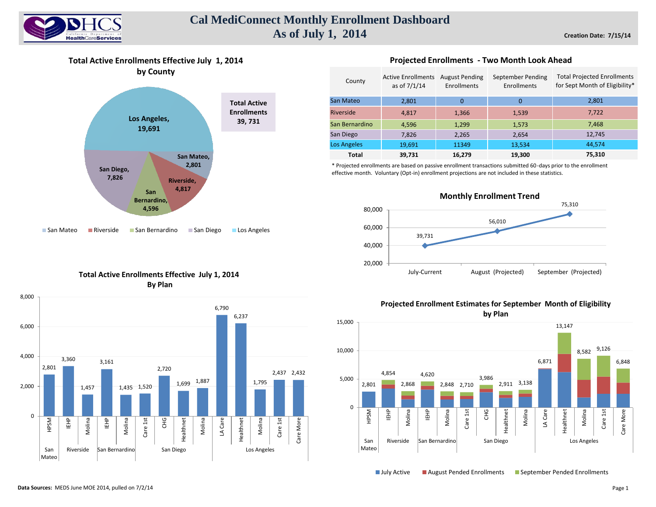

## **Cal MediConnect Monthly Enrollment Dashboard As of July 1, 2014**

**Total Active Enrollments Effective July 1, 2014**



### **Total Active Enrollments Effective July 1, 2014 By Plan**



### **Projected Enrollments - Two Month Look Ahead**

| County         | <b>Active Enrollments</b><br>as of 7/1/14 | <b>August Pending</b><br>Enrollments | September Pending<br>Enrollments | <b>Total Projected Enrollments</b><br>for Sept Month of Eligibility* |
|----------------|-------------------------------------------|--------------------------------------|----------------------------------|----------------------------------------------------------------------|
| San Mateo      | 2,801                                     | $\Omega$                             | 0                                | 2,801                                                                |
| Riverside      | 4.817                                     | 1,366                                | 1,539                            | 7,722                                                                |
| San Bernardino | 4.596                                     | 1,299                                | 1,573                            | 7,468                                                                |
| San Diego      | 7,826                                     | 2,265                                | 2,654                            | 12,745                                                               |
| Los Angeles    | 19,691                                    | 11349                                | 13,534                           | 44,574                                                               |
| <b>Total</b>   | 39,731                                    | 16,279                               | 19,300                           | 75,310                                                               |

\* Projected enrollments are based on passive enrollment transactions submitted 60-days prior to the enrollment effective month. Voluntary (Opt-in) enrollment projections are not included in these statistics.



## **Projected Enrollment Estimates for September Month of Eligibility**



■ July Active ■ August Pended Enrollments ■ September Pended Enrollments

**Data Sources:** MEDS June MOE 2014, pulled on 7/2/14